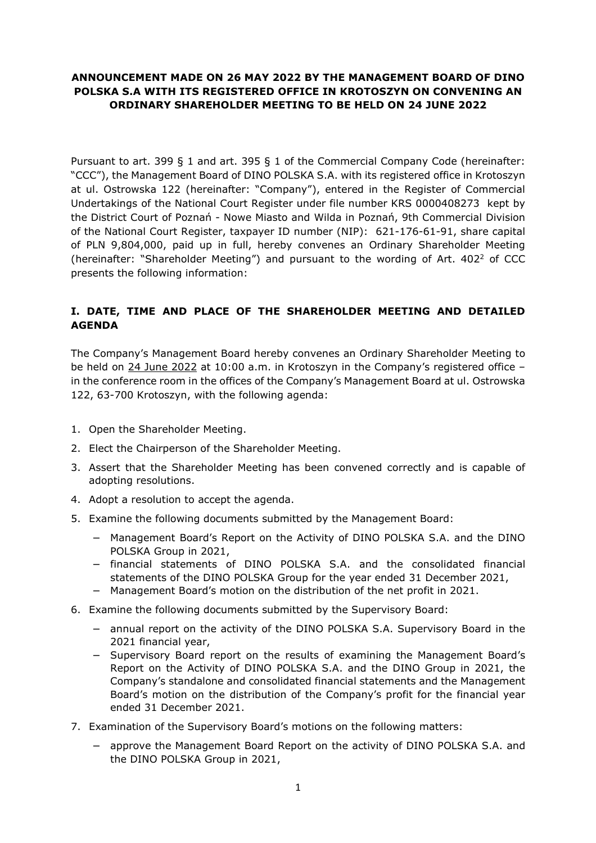# **ANNOUNCEMENT MADE ON 26 MAY 2022 BY THE MANAGEMENT BOARD OF DINO POLSKA S.A WITH ITS REGISTERED OFFICE IN KROTOSZYN ON CONVENING AN ORDINARY SHAREHOLDER MEETING TO BE HELD ON 24 JUNE 2022**

Pursuant to art. 399 § 1 and art. 395 § 1 of the Commercial Company Code (hereinafter: "CCC"), the Management Board of DINO POLSKA S.A. with its registered office in Krotoszyn at ul. Ostrowska 122 (hereinafter: "Company"), entered in the Register of Commercial Undertakings of the National Court Register under file number KRS 0000408273 kept by the District Court of Poznań - Nowe Miasto and Wilda in Poznań, 9th Commercial Division of the National Court Register, taxpayer ID number (NIP): 621-176-61-91, share capital of PLN 9,804,000, paid up in full, hereby convenes an Ordinary Shareholder Meeting (hereinafter: "Shareholder Meeting") and pursuant to the wording of Art.  $402<sup>2</sup>$  of CCC presents the following information:

# **I. DATE, TIME AND PLACE OF THE SHAREHOLDER MEETING AND DETAILED AGENDA**

The Company's Management Board hereby convenes an Ordinary Shareholder Meeting to be held on 24 June 2022 at 10:00 a.m. in Krotoszyn in the Company's registered office – in the conference room in the offices of the Company's Management Board at ul. Ostrowska 122, 63-700 Krotoszyn, with the following agenda:

- 1. Open the Shareholder Meeting.
- 2. Elect the Chairperson of the Shareholder Meeting.
- 3. Assert that the Shareholder Meeting has been convened correctly and is capable of adopting resolutions.
- 4. Adopt a resolution to accept the agenda.
- 5. Examine the following documents submitted by the Management Board:
	- − Management Board's Report on the Activity of DINO POLSKA S.A. and the DINO POLSKA Group in 2021,
	- − financial statements of DINO POLSKA S.A. and the consolidated financial statements of the DINO POLSKA Group for the year ended 31 December 2021,
	- − Management Board's motion on the distribution of the net profit in 2021.
- 6. Examine the following documents submitted by the Supervisory Board:
	- − annual report on the activity of the DINO POLSKA S.A. Supervisory Board in the 2021 financial year,
	- − Supervisory Board report on the results of examining the Management Board's Report on the Activity of DINO POLSKA S.A. and the DINO Group in 2021, the Company's standalone and consolidated financial statements and the Management Board's motion on the distribution of the Company's profit for the financial year ended 31 December 2021.
- 7. Examination of the Supervisory Board's motions on the following matters:
	- approve the Management Board Report on the activity of DINO POLSKA S.A. and the DINO POLSKA Group in 2021,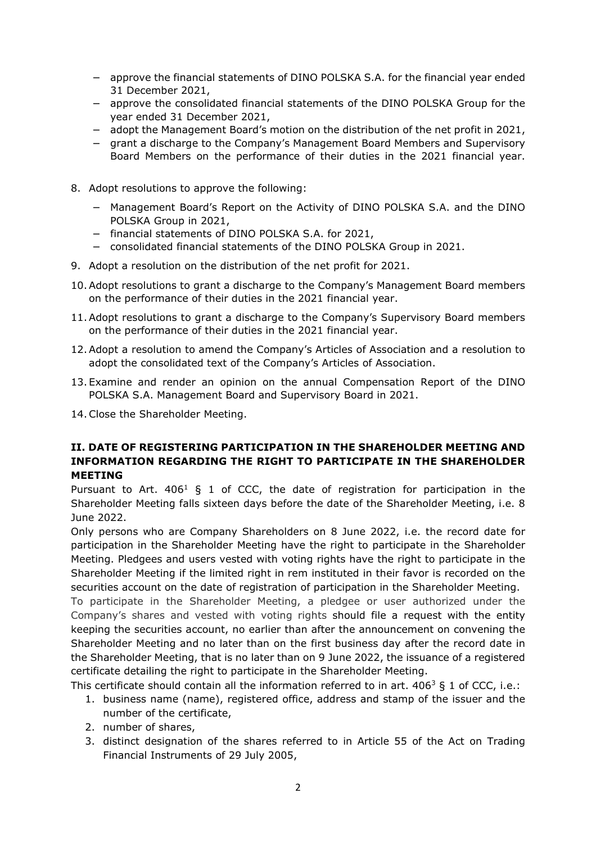- − approve the financial statements of DINO POLSKA S.A. for the financial year ended 31 December 2021,
- − approve the consolidated financial statements of the DINO POLSKA Group for the year ended 31 December 2021,
- − adopt the Management Board's motion on the distribution of the net profit in 2021,
- − grant a discharge to the Company's Management Board Members and Supervisory Board Members on the performance of their duties in the 2021 financial year.
- 8. Adopt resolutions to approve the following:
	- − Management Board's Report on the Activity of DINO POLSKA S.A. and the DINO POLSKA Group in 2021,
	- − financial statements of DINO POLSKA S.A. for 2021,
	- − consolidated financial statements of the DINO POLSKA Group in 2021.
- 9. Adopt a resolution on the distribution of the net profit for 2021.
- 10.Adopt resolutions to grant a discharge to the Company's Management Board members on the performance of their duties in the 2021 financial year.
- 11.Adopt resolutions to grant a discharge to the Company's Supervisory Board members on the performance of their duties in the 2021 financial year.
- 12.Adopt a resolution to amend the Company's Articles of Association and a resolution to adopt the consolidated text of the Company's Articles of Association.
- 13. Examine and render an opinion on the annual Compensation Report of the DINO POLSKA S.A. Management Board and Supervisory Board in 2021.
- 14.Close the Shareholder Meeting.

#### **II. DATE OF REGISTERING PARTICIPATION IN THE SHAREHOLDER MEETING AND INFORMATION REGARDING THE RIGHT TO PARTICIPATE IN THE SHAREHOLDER MEETING**

Pursuant to Art.  $406<sup>1</sup>$  § 1 of CCC, the date of registration for participation in the Shareholder Meeting falls sixteen days before the date of the Shareholder Meeting, i.e. 8 June 2022.

Only persons who are Company Shareholders on 8 June 2022, i.e. the record date for participation in the Shareholder Meeting have the right to participate in the Shareholder Meeting. Pledgees and users vested with voting rights have the right to participate in the Shareholder Meeting if the limited right in rem instituted in their favor is recorded on the securities account on the date of registration of participation in the Shareholder Meeting.

To participate in the Shareholder Meeting, a pledgee or user authorized under the Company's shares and vested with voting rights should file a request with the entity keeping the securities account, no earlier than after the announcement on convening the Shareholder Meeting and no later than on the first business day after the record date in the Shareholder Meeting, that is no later than on 9 June 2022, the issuance of a registered certificate detailing the right to participate in the Shareholder Meeting.

This certificate should contain all the information referred to in art.  $406^3$  § 1 of CCC, i.e.:

- 1. business name (name), registered office, address and stamp of the issuer and the number of the certificate,
- 2. number of shares,
- 3. distinct designation of the shares referred to in Article 55 of the Act on Trading Financial Instruments of 29 July 2005,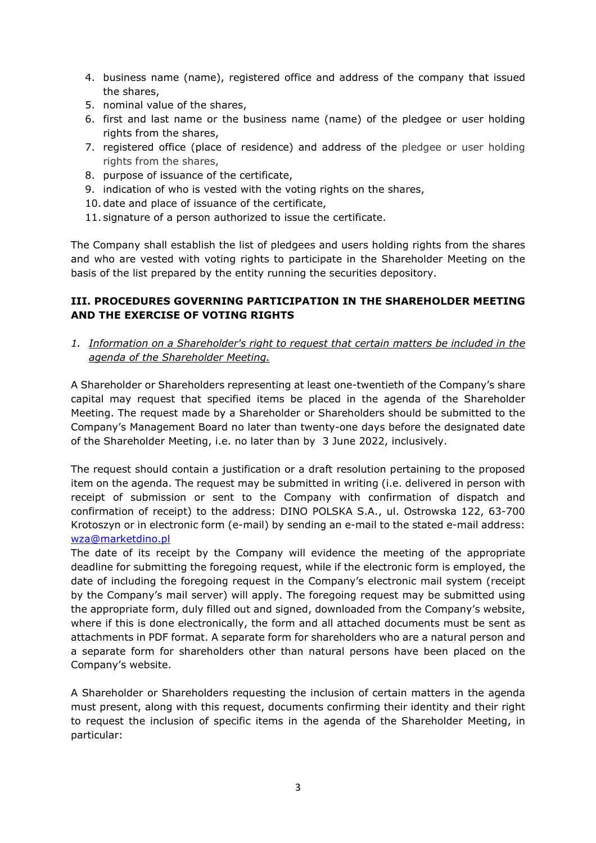- 4. business name (name), registered office and address of the company that issued the shares,
- 5. nominal value of the shares,
- 6. first and last name or the business name (name) of the pledgee or user holding rights from the shares,
- 7. registered office (place of residence) and address of the pledgee or user holding rights from the shares,
- 8. purpose of issuance of the certificate,
- 9. indication of who is vested with the voting rights on the shares,
- 10. date and place of issuance of the certificate,
- 11. signature of a person authorized to issue the certificate.

The Company shall establish the list of pledgees and users holding rights from the shares and who are vested with voting rights to participate in the Shareholder Meeting on the basis of the list prepared by the entity running the securities depository.

### **III. PROCEDURES GOVERNING PARTICIPATION IN THE SHAREHOLDER MEETING AND THE EXERCISE OF VOTING RIGHTS**

*1. Information on a Shareholder's right to request that certain matters be included in the agenda of the Shareholder Meeting.* 

A Shareholder or Shareholders representing at least one-twentieth of the Company's share capital may request that specified items be placed in the agenda of the Shareholder Meeting. The request made by a Shareholder or Shareholders should be submitted to the Company's Management Board no later than twenty-one days before the designated date of the Shareholder Meeting, i.e. no later than by 3 June 2022, inclusively.

The request should contain a justification or a draft resolution pertaining to the proposed item on the agenda. The request may be submitted in writing (i.e. delivered in person with receipt of submission or sent to the Company with confirmation of dispatch and confirmation of receipt) to the address: DINO POLSKA S.A., ul. Ostrowska 122, 63-700 Krotoszyn or in electronic form (e-mail) by sending an e-mail to the stated e-mail address: wza@marketdino.pl

The date of its receipt by the Company will evidence the meeting of the appropriate deadline for submitting the foregoing request, while if the electronic form is employed, the date of including the foregoing request in the Company's electronic mail system (receipt by the Company's mail server) will apply. The foregoing request may be submitted using the appropriate form, duly filled out and signed, downloaded from the Company's website, where if this is done electronically, the form and all attached documents must be sent as attachments in PDF format. A separate form for shareholders who are a natural person and a separate form for shareholders other than natural persons have been placed on the Company's website.

A Shareholder or Shareholders requesting the inclusion of certain matters in the agenda must present, along with this request, documents confirming their identity and their right to request the inclusion of specific items in the agenda of the Shareholder Meeting, in particular: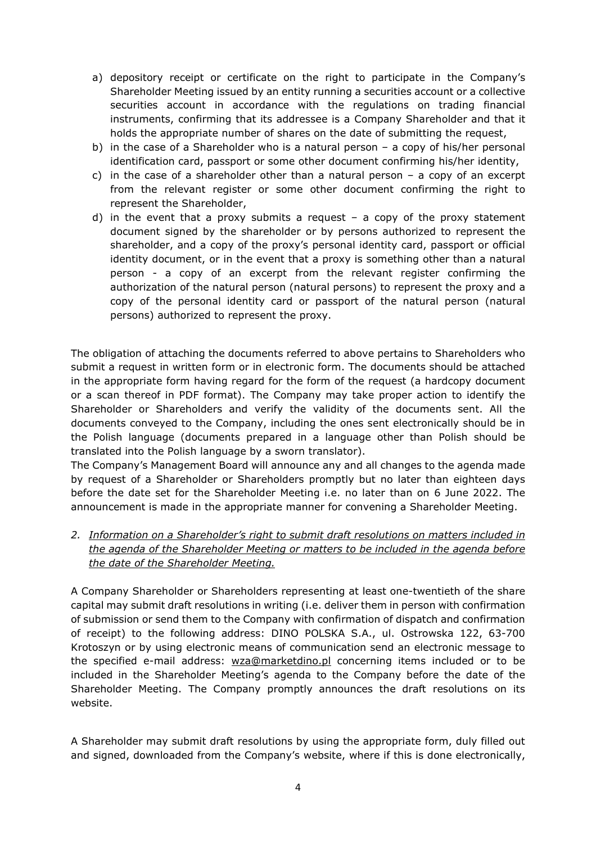- a) depository receipt or certificate on the right to participate in the Company's Shareholder Meeting issued by an entity running a securities account or a collective securities account in accordance with the regulations on trading financial instruments, confirming that its addressee is a Company Shareholder and that it holds the appropriate number of shares on the date of submitting the request,
- b) in the case of a Shareholder who is a natural person a copy of his/her personal identification card, passport or some other document confirming his/her identity,
- c) in the case of a shareholder other than a natural person  $-$  a copy of an excerpt from the relevant register or some other document confirming the right to represent the Shareholder,
- d) in the event that a proxy submits a request  $-$  a copy of the proxy statement document signed by the shareholder or by persons authorized to represent the shareholder, and a copy of the proxy's personal identity card, passport or official identity document, or in the event that a proxy is something other than a natural person - a copy of an excerpt from the relevant register confirming the authorization of the natural person (natural persons) to represent the proxy and a copy of the personal identity card or passport of the natural person (natural persons) authorized to represent the proxy.

The obligation of attaching the documents referred to above pertains to Shareholders who submit a request in written form or in electronic form. The documents should be attached in the appropriate form having regard for the form of the request (a hardcopy document or a scan thereof in PDF format). The Company may take proper action to identify the Shareholder or Shareholders and verify the validity of the documents sent. All the documents conveyed to the Company, including the ones sent electronically should be in the Polish language (documents prepared in a language other than Polish should be translated into the Polish language by a sworn translator).

The Company's Management Board will announce any and all changes to the agenda made by request of a Shareholder or Shareholders promptly but no later than eighteen days before the date set for the Shareholder Meeting i.e. no later than on 6 June 2022. The announcement is made in the appropriate manner for convening a Shareholder Meeting.

*2. Information on a Shareholder's right to submit draft resolutions on matters included in the agenda of the Shareholder Meeting or matters to be included in the agenda before the date of the Shareholder Meeting.* 

A Company Shareholder or Shareholders representing at least one-twentieth of the share capital may submit draft resolutions in writing (i.e. deliver them in person with confirmation of submission or send them to the Company with confirmation of dispatch and confirmation of receipt) to the following address: DINO POLSKA S.A., ul. Ostrowska 122, 63-700 Krotoszyn or by using electronic means of communication send an electronic message to the specified e-mail address: wza@marketdino.pl concerning items included or to be included in the Shareholder Meeting's agenda to the Company before the date of the Shareholder Meeting. The Company promptly announces the draft resolutions on its website.

A Shareholder may submit draft resolutions by using the appropriate form, duly filled out and signed, downloaded from the Company's website, where if this is done electronically,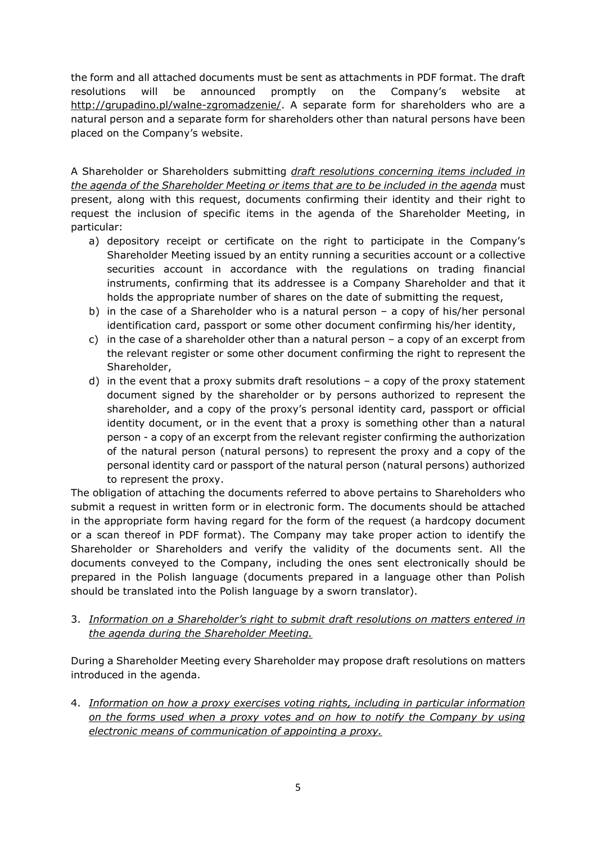the form and all attached documents must be sent as attachments in PDF format. The draft resolutions will be announced promptly on the Company's website at http://grupadino.pl/walne-zgromadzenie/. A separate form for shareholders who are a natural person and a separate form for shareholders other than natural persons have been placed on the Company's website.

A Shareholder or Shareholders submitting *draft resolutions concerning items included in the agenda of the Shareholder Meeting or items that are to be included in the agenda* must present, along with this request, documents confirming their identity and their right to request the inclusion of specific items in the agenda of the Shareholder Meeting, in particular:

- a) depository receipt or certificate on the right to participate in the Company's Shareholder Meeting issued by an entity running a securities account or a collective securities account in accordance with the regulations on trading financial instruments, confirming that its addressee is a Company Shareholder and that it holds the appropriate number of shares on the date of submitting the request,
- b) in the case of a Shareholder who is a natural person a copy of his/her personal identification card, passport or some other document confirming his/her identity,
- c) in the case of a shareholder other than a natural person  $-$  a copy of an excerpt from the relevant register or some other document confirming the right to represent the Shareholder,
- d) in the event that a proxy submits draft resolutions a copy of the proxy statement document signed by the shareholder or by persons authorized to represent the shareholder, and a copy of the proxy's personal identity card, passport or official identity document, or in the event that a proxy is something other than a natural person - a copy of an excerpt from the relevant register confirming the authorization of the natural person (natural persons) to represent the proxy and a copy of the personal identity card or passport of the natural person (natural persons) authorized to represent the proxy.

The obligation of attaching the documents referred to above pertains to Shareholders who submit a request in written form or in electronic form. The documents should be attached in the appropriate form having regard for the form of the request (a hardcopy document or a scan thereof in PDF format). The Company may take proper action to identify the Shareholder or Shareholders and verify the validity of the documents sent. All the documents conveyed to the Company, including the ones sent electronically should be prepared in the Polish language (documents prepared in a language other than Polish should be translated into the Polish language by a sworn translator).

3. *Information on a Shareholder's right to submit draft resolutions on matters entered in the agenda during the Shareholder Meeting.*

During a Shareholder Meeting every Shareholder may propose draft resolutions on matters introduced in the agenda.

4. *Information on how a proxy exercises voting rights, including in particular information on the forms used when a proxy votes and on how to notify the Company by using electronic means of communication of appointing a proxy.*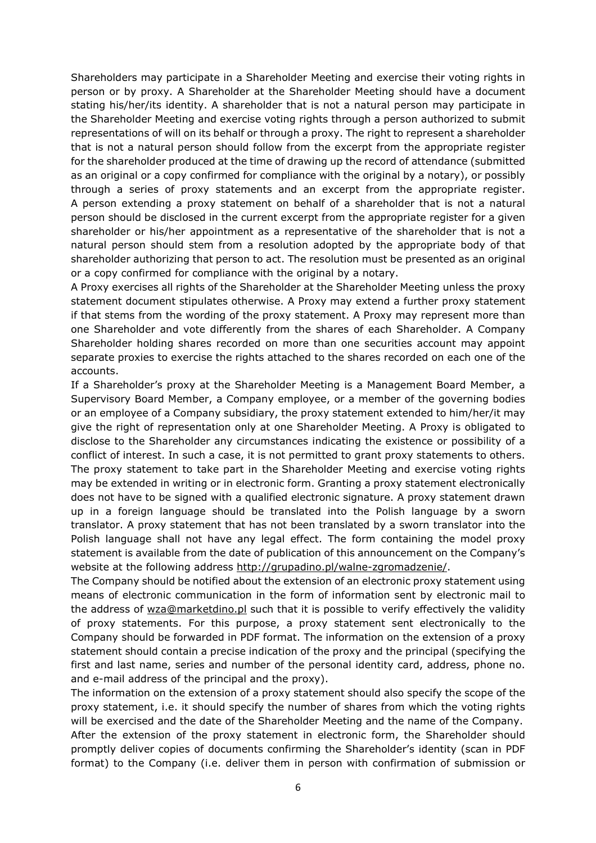Shareholders may participate in a Shareholder Meeting and exercise their voting rights in person or by proxy. A Shareholder at the Shareholder Meeting should have a document stating his/her/its identity. A shareholder that is not a natural person may participate in the Shareholder Meeting and exercise voting rights through a person authorized to submit representations of will on its behalf or through a proxy. The right to represent a shareholder that is not a natural person should follow from the excerpt from the appropriate register for the shareholder produced at the time of drawing up the record of attendance (submitted as an original or a copy confirmed for compliance with the original by a notary), or possibly through a series of proxy statements and an excerpt from the appropriate register. A person extending a proxy statement on behalf of a shareholder that is not a natural person should be disclosed in the current excerpt from the appropriate register for a given shareholder or his/her appointment as a representative of the shareholder that is not a natural person should stem from a resolution adopted by the appropriate body of that shareholder authorizing that person to act. The resolution must be presented as an original or a copy confirmed for compliance with the original by a notary.

A Proxy exercises all rights of the Shareholder at the Shareholder Meeting unless the proxy statement document stipulates otherwise. A Proxy may extend a further proxy statement if that stems from the wording of the proxy statement. A Proxy may represent more than one Shareholder and vote differently from the shares of each Shareholder. A Company Shareholder holding shares recorded on more than one securities account may appoint separate proxies to exercise the rights attached to the shares recorded on each one of the accounts.

If a Shareholder's proxy at the Shareholder Meeting is a Management Board Member, a Supervisory Board Member, a Company employee, or a member of the governing bodies or an employee of a Company subsidiary, the proxy statement extended to him/her/it may give the right of representation only at one Shareholder Meeting. A Proxy is obligated to disclose to the Shareholder any circumstances indicating the existence or possibility of a conflict of interest. In such a case, it is not permitted to grant proxy statements to others. The proxy statement to take part in the Shareholder Meeting and exercise voting rights may be extended in writing or in electronic form. Granting a proxy statement electronically does not have to be signed with a qualified electronic signature. A proxy statement drawn up in a foreign language should be translated into the Polish language by a sworn translator. A proxy statement that has not been translated by a sworn translator into the Polish language shall not have any legal effect. The form containing the model proxy statement is available from the date of publication of this announcement on the Company's website at the following address http://grupadino.pl/walne-zgromadzenie/.

The Company should be notified about the extension of an electronic proxy statement using means of electronic communication in the form of information sent by electronic mail to the address of wza@marketdino.pl such that it is possible to verify effectively the validity of proxy statements. For this purpose, a proxy statement sent electronically to the Company should be forwarded in PDF format. The information on the extension of a proxy statement should contain a precise indication of the proxy and the principal (specifying the first and last name, series and number of the personal identity card, address, phone no. and e-mail address of the principal and the proxy).

The information on the extension of a proxy statement should also specify the scope of the proxy statement, i.e. it should specify the number of shares from which the voting rights will be exercised and the date of the Shareholder Meeting and the name of the Company. After the extension of the proxy statement in electronic form, the Shareholder should promptly deliver copies of documents confirming the Shareholder's identity (scan in PDF format) to the Company (i.e. deliver them in person with confirmation of submission or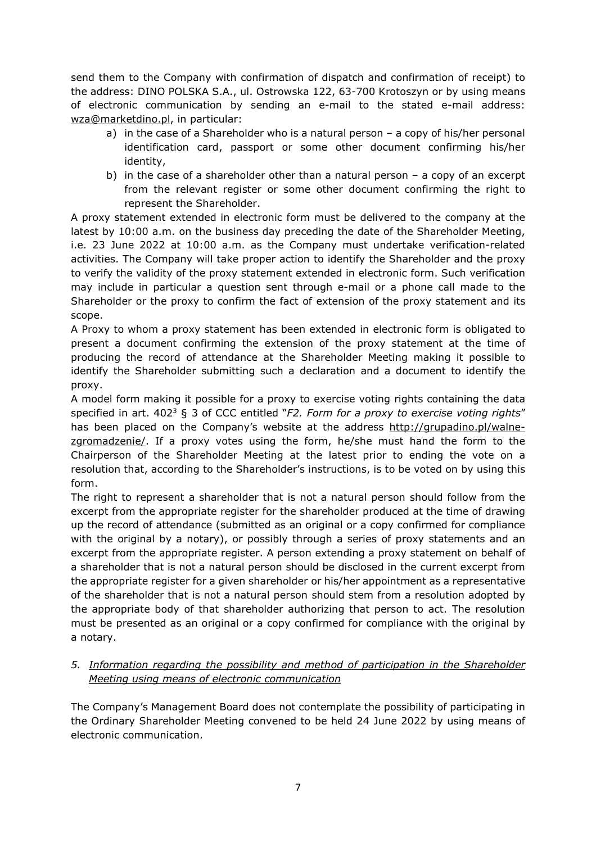send them to the Company with confirmation of dispatch and confirmation of receipt) to the address: DINO POLSKA S.A., ul. Ostrowska 122, 63-700 Krotoszyn or by using means of electronic communication by sending an e-mail to the stated e-mail address: wza@marketdino.pl, in particular:

- a) in the case of a Shareholder who is a natural person a copy of his/her personal identification card, passport or some other document confirming his/her identity,
- b) in the case of a shareholder other than a natural person a copy of an excerpt from the relevant register or some other document confirming the right to represent the Shareholder.

A proxy statement extended in electronic form must be delivered to the company at the latest by 10:00 a.m. on the business day preceding the date of the Shareholder Meeting, i.e. 23 June 2022 at 10:00 a.m. as the Company must undertake verification-related activities. The Company will take proper action to identify the Shareholder and the proxy to verify the validity of the proxy statement extended in electronic form. Such verification may include in particular a question sent through e-mail or a phone call made to the Shareholder or the proxy to confirm the fact of extension of the proxy statement and its scope.

A Proxy to whom a proxy statement has been extended in electronic form is obligated to present a document confirming the extension of the proxy statement at the time of producing the record of attendance at the Shareholder Meeting making it possible to identify the Shareholder submitting such a declaration and a document to identify the proxy.

A model form making it possible for a proxy to exercise voting rights containing the data specified in art. 402<sup>3</sup> § 3 of CCC entitled "*F2. Form for a proxy to exercise voting rights"* has been placed on the Company's website at the address http://grupadino.pl/walnezgromadzenie/. If a proxy votes using the form, he/she must hand the form to the Chairperson of the Shareholder Meeting at the latest prior to ending the vote on a resolution that, according to the Shareholder's instructions, is to be voted on by using this form.

The right to represent a shareholder that is not a natural person should follow from the excerpt from the appropriate register for the shareholder produced at the time of drawing up the record of attendance (submitted as an original or a copy confirmed for compliance with the original by a notary), or possibly through a series of proxy statements and an excerpt from the appropriate register. A person extending a proxy statement on behalf of a shareholder that is not a natural person should be disclosed in the current excerpt from the appropriate register for a given shareholder or his/her appointment as a representative of the shareholder that is not a natural person should stem from a resolution adopted by the appropriate body of that shareholder authorizing that person to act. The resolution must be presented as an original or a copy confirmed for compliance with the original by a notary.

# *5. Information regarding the possibility and method of participation in the Shareholder Meeting using means of electronic communication*

The Company's Management Board does not contemplate the possibility of participating in the Ordinary Shareholder Meeting convened to be held 24 June 2022 by using means of electronic communication.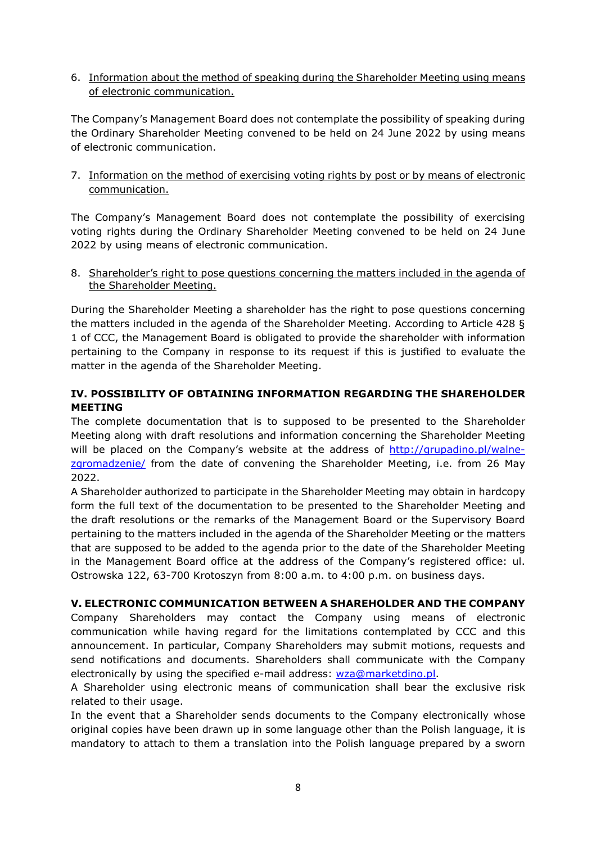6. Information about the method of speaking during the Shareholder Meeting using means of electronic communication.

The Company's Management Board does not contemplate the possibility of speaking during the Ordinary Shareholder Meeting convened to be held on 24 June 2022 by using means of electronic communication.

7. Information on the method of exercising voting rights by post or by means of electronic communication.

The Company's Management Board does not contemplate the possibility of exercising voting rights during the Ordinary Shareholder Meeting convened to be held on 24 June 2022 by using means of electronic communication.

8. Shareholder's right to pose questions concerning the matters included in the agenda of the Shareholder Meeting.

During the Shareholder Meeting a shareholder has the right to pose questions concerning the matters included in the agenda of the Shareholder Meeting. According to Article 428 § 1 of CCC, the Management Board is obligated to provide the shareholder with information pertaining to the Company in response to its request if this is justified to evaluate the matter in the agenda of the Shareholder Meeting.

# **IV. POSSIBILITY OF OBTAINING INFORMATION REGARDING THE SHAREHOLDER MEETING**

The complete documentation that is to supposed to be presented to the Shareholder Meeting along with draft resolutions and information concerning the Shareholder Meeting will be placed on the Company's website at the address of http://grupadino.pl/walnezgromadzenie/ from the date of convening the Shareholder Meeting, i.e. from 26 May 2022.

A Shareholder authorized to participate in the Shareholder Meeting may obtain in hardcopy form the full text of the documentation to be presented to the Shareholder Meeting and the draft resolutions or the remarks of the Management Board or the Supervisory Board pertaining to the matters included in the agenda of the Shareholder Meeting or the matters that are supposed to be added to the agenda prior to the date of the Shareholder Meeting in the Management Board office at the address of the Company's registered office: ul. Ostrowska 122, 63-700 Krotoszyn from 8:00 a.m. to 4:00 p.m. on business days.

#### **V. ELECTRONIC COMMUNICATION BETWEEN A SHAREHOLDER AND THE COMPANY**

Company Shareholders may contact the Company using means of electronic communication while having regard for the limitations contemplated by CCC and this announcement. In particular, Company Shareholders may submit motions, requests and send notifications and documents. Shareholders shall communicate with the Company electronically by using the specified e-mail address: wza@marketdino.pl.

A Shareholder using electronic means of communication shall bear the exclusive risk related to their usage.

In the event that a Shareholder sends documents to the Company electronically whose original copies have been drawn up in some language other than the Polish language, it is mandatory to attach to them a translation into the Polish language prepared by a sworn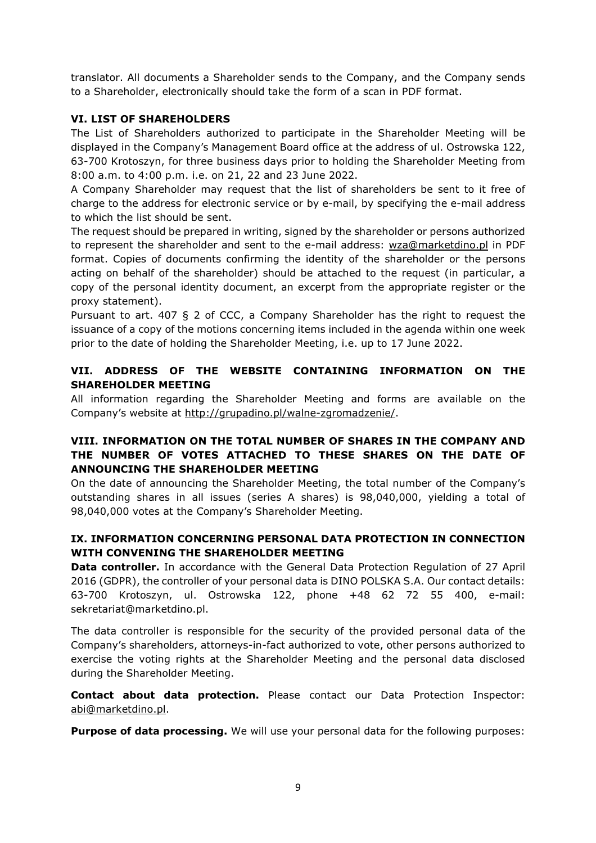translator. All documents a Shareholder sends to the Company, and the Company sends to a Shareholder, electronically should take the form of a scan in PDF format.

### **VI. LIST OF SHAREHOLDERS**

The List of Shareholders authorized to participate in the Shareholder Meeting will be displayed in the Company's Management Board office at the address of ul. Ostrowska 122, 63-700 Krotoszyn, for three business days prior to holding the Shareholder Meeting from 8:00 a.m. to 4:00 p.m. i.e. on 21, 22 and 23 June 2022.

A Company Shareholder may request that the list of shareholders be sent to it free of charge to the address for electronic service or by e-mail, by specifying the e-mail address to which the list should be sent.

The request should be prepared in writing, signed by the shareholder or persons authorized to represent the shareholder and sent to the e-mail address: wza@marketdino.pl in PDF format. Copies of documents confirming the identity of the shareholder or the persons acting on behalf of the shareholder) should be attached to the request (in particular, a copy of the personal identity document, an excerpt from the appropriate register or the proxy statement).

Pursuant to art. 407 § 2 of CCC, a Company Shareholder has the right to request the issuance of a copy of the motions concerning items included in the agenda within one week prior to the date of holding the Shareholder Meeting, i.e. up to 17 June 2022.

### **VII. ADDRESS OF THE WEBSITE CONTAINING INFORMATION ON THE SHAREHOLDER MEETING**

All information regarding the Shareholder Meeting and forms are available on the Company's website at http://grupadino.pl/walne-zgromadzenie/.

### **VIII. INFORMATION ON THE TOTAL NUMBER OF SHARES IN THE COMPANY AND THE NUMBER OF VOTES ATTACHED TO THESE SHARES ON THE DATE OF ANNOUNCING THE SHAREHOLDER MEETING**

On the date of announcing the Shareholder Meeting, the total number of the Company's outstanding shares in all issues (series A shares) is 98,040,000, yielding a total of 98,040,000 votes at the Company's Shareholder Meeting.

# **IX. INFORMATION CONCERNING PERSONAL DATA PROTECTION IN CONNECTION WITH CONVENING THE SHAREHOLDER MEETING**

**Data controller.** In accordance with the General Data Protection Regulation of 27 April 2016 (GDPR), the controller of your personal data is DINO POLSKA S.A. Our contact details: 63-700 Krotoszyn, ul. Ostrowska 122, phone +48 62 72 55 400, e-mail: sekretariat@marketdino.pl.

The data controller is responsible for the security of the provided personal data of the Company's shareholders, attorneys-in-fact authorized to vote, other persons authorized to exercise the voting rights at the Shareholder Meeting and the personal data disclosed during the Shareholder Meeting.

**Contact about data protection.** Please contact our Data Protection Inspector: abi@marketdino.pl.

**Purpose of data processing.** We will use your personal data for the following purposes: